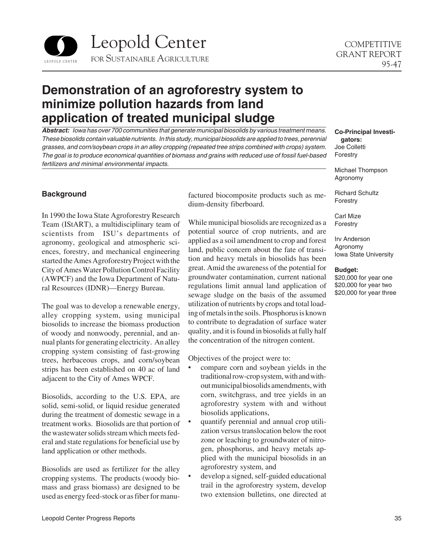

# **Demonstration of an agroforestry system to minimize pollution hazards from land application of treated municipal sludge**

*Abstract: Iowa has over 700 communities that generate municipal biosolids by various treatment means. These biosolids contain valuable nutrients. In this study, municipal biosolids are applied to trees, perennial grasses, and corn/soybean crops in an alley cropping (repeated tree strips combined with crops) system. The goal is to produce economical quantities of biomass and grains with reduced use of fossil fuel-based fertilizers and minimal environmental impacts.* 

## **Background**

In 1990 the Iowa State Agroforestry Research Team (IStART), a multidisciplinary team of scientists from ISU's departments of agronomy, geological and atmospheric sciences, forestry, and mechanical engineering started the Ames Agroforestry Project with the City of Ames Water Pollution Control Facility (AWPCF) and the Iowa Department of Natural Resources (IDNR)—Energy Bureau.

The goal was to develop a renewable energy, alley cropping system, using municipal biosolids to increase the biomass production of woody and nonwoody, perennial, and annual plants for generating electricity. An alley cropping system consisting of fast-growing trees, herbaceous crops, and corn/soybean strips has been established on 40 ac of land adjacent to the City of Ames WPCF.

Biosolids, according to the U.S. EPA, are solid, semi-solid, or liquid residue generated during the treatment of domestic sewage in a treatment works. Biosolids are that portion of the wastewater solids stream which meets federal and state regulations for beneficial use by land application or other methods.

Biosolids are used as fertilizer for the alley cropping systems. The products (woody biomass and grass biomass) are designed to be used as energy feed-stock or as fiber for manufactured biocomposite products such as medium-density fiberboard.

While municipal biosolids are recognized as a potential source of crop nutrients, and are applied as a soil amendment to crop and forest land, public concern about the fate of transition and heavy metals in biosolids has been great. Amid the awareness of the potential for groundwater contamination, current national regulations limit annual land application of sewage sludge on the basis of the assumed utilization of nutrients by crops and total loading of metals in the soils. Phosphorus is known to contribute to degradation of surface water quality, and it is found in biosolids at fully half the concentration of the nitrogen content.

Objectives of the project were to:

- compare corn and soybean yields in the traditional row-crop system, with and with out municipal biosolids amendments, with corn, switchgrass, and tree yields in an agroforestry system with and without biosolids applications,
- quantify perennial and annual crop utilization versus translocation below the root zone or leaching to groundwater of nitrogen, phosphorus, and heavy metals applied with the municipal biosolids in an agroforestry system, and
- develop a signed, self-guided educational trail in the agroforestry system, develop two extension bulletins, one directed at

**Co-Principal Investigators:**  Joe Colletti Forestry

Michael Thompson Agronomy

Richard Schultz Forestry

Carl Mize Forestry

Irv Anderson Agronomy Iowa State University

#### **Budget:**

\$20,000 for year one \$20,000 for year two \$20,000 for year three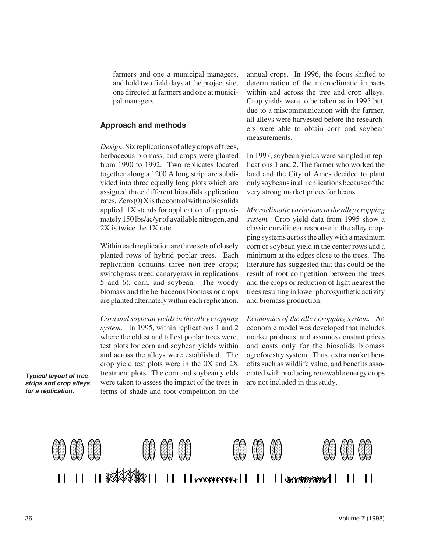farmers and one a municipal managers, and hold two field days at the project site, one directed at farmers and one at municipal managers.

### **Approach and methods**

*Design*. Six replications of alley crops of trees, herbaceous biomass, and crops were planted from 1990 to 1992. Two replicates located together along a 1200 A long strip are subdivided into three equally long plots which are assigned three different biosolids application rates. Zero (0) X is the control with no biosolids applied, 1X stands for application of approximately 150 lbs/ac/yr of available nitrogen, and 2X is twice the 1X rate.

Within each replication are three sets of closely planted rows of hybrid poplar trees. Each replication contains three non-tree crops; switchgrass (reed canarygrass in replications 5 and 6), corn, and soybean. The woody biomass and the herbaceous biomass or crops are planted alternately within each replication.

*Corn and soybean yields in the alley cropping system.* In 1995, within replications 1 and 2 where the oldest and tallest poplar trees were, test plots for corn and soybean yields within and across the alleys were established. The crop yield test plots were in the 0X and 2X **Typical layout of tree** treatment plots. The corn and soybean yields *strips and crop alleys* were taken to assess the impact of the trees in *for a replication.* terms of shade and root competition on the annual crops. In 1996, the focus shifted to determination of the microclimatic impacts within and across the tree and crop alleys. Crop yields were to be taken as in 1995 but, due to a miscommunication with the farmer, all alleys were harvested before the researchers were able to obtain corn and soybean measurements.

In 1997, soybean yields were sampled in replications 1 and 2. The farmer who worked the land and the City of Ames decided to plant only soybeans in all replications because of the very strong market prices for beans.

*Microclimatic variations in the alley cropping system.* Crop yield data from 1995 show a classic curvilinear response in the alley cropping systems across the alley with a maximum corn or soybean yield in the center rows and a minimum at the edges close to the trees. The literature has suggested that this could be the result of root competition between the trees and the crops or reduction of light nearest the trees resulting in lower photosynthetic activity and biomass production.

*Economics of the alley cropping system.* An economic model was developed that includes market products, and assumes constant prices and costs only for the biosolids biomass agroforestry system. Thus, extra market benefits such as wildlife value, and benefits associated with producing renewable energy crops are not included in this study.

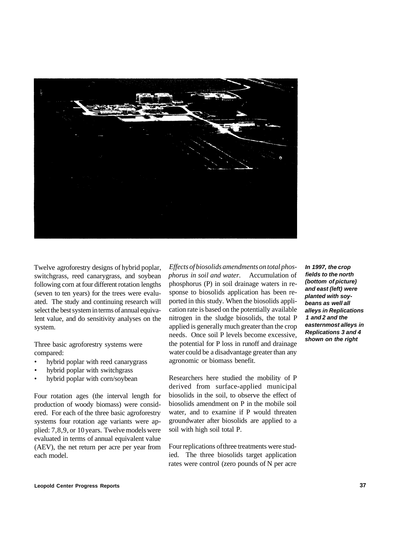

Twelve agroforestry designs of hybrid poplar, switchgrass, reed canarygrass, and soybean following corn at four different rotation lengths (seven to ten years) for the trees were evaluated. The study and continuing research will select the best system in terms of annual equivalent value, and do sensitivity analyses on the system.

Three basic agroforestry systems were compared:

- hybrid poplar with reed canarygrass
- hybrid poplar with switchgrass
- hybrid poplar with corn/soybean

Four rotation ages (the interval length for production of woody biomass) were considered. For each of the three basic agroforestry systems four rotation age variants were applied: 7,8,9, or 10 years. Twelve models were evaluated in terms of annual equivalent value (AEV), the net return per acre per year from each model.

*Effects of biosolids amendments on total phosphorus in soil and water.* Accumulation of phosphorus (P) in soil drainage waters in response to biosolids application has been reported in this study. When the biosolids application rate is based on the potentially available nitrogen in the sludge biosolids, the total P applied is generally much greater than the crop needs. Once soil P levels become excessive, the potential for P loss in runoff and drainage water could be a disadvantage greater than any agronomic or biomass benefit.

Researchers here studied the mobility of P derived from surface-applied municipal biosolids in the soil, to observe the effect of biosolids amendment on P in the mobile soil water, and to examine if P would threaten groundwater after biosolids are applied to a soil with high soil total P.

Four replications of three treatments were studied. The three biosolids target application rates were control (zero pounds of N per acre

**In 1997, the crop fields to the north (bottom of picture) and east (left) were planted with soybeans as well all alleys in Replications 1 and 2 and the easternmost alleys in Replications 3 and 4 shown on the right**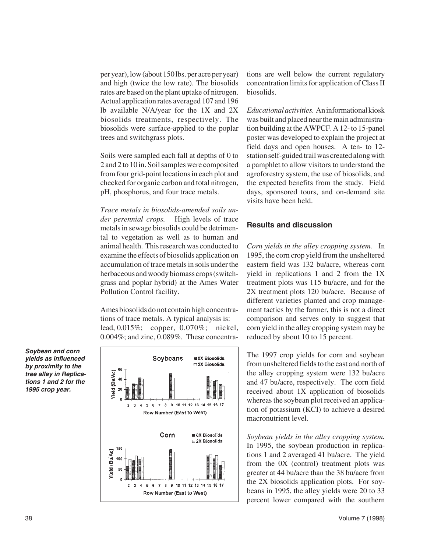per year), low (about 150 lbs. per acre per year) and high (twice the low rate). The biosolids rates are based on the plant uptake of nitrogen. Actual application rates averaged 107 and 196 lb available N/A/year for the 1X and 2X biosolids treatments, respectively. The biosolids were surface-applied to the poplar trees and switchgrass plots.

Soils were sampled each fall at depths of 0 to 2 and 2 to 10 in. Soil samples were composited from four grid-point locations in each plot and checked for organic carbon and total nitrogen, pH, phosphorus, and four trace metals.

*Trace metals in biosolids-amended soils under perennial crops.* High levels of trace metals in sewage biosolids could be detrimental to vegetation as well as to human and animal health. This research was conducted to examine the effects of biosolids application on accumulation of trace metals in soils under the herbaceous and woody biomass crops (switchgrass and poplar hybrid) at the Ames Water Pollution Control facility.

Ames biosolids do not contain high concentrations of trace metals. A typical analysis is: lead, 0.015%; copper, 0.070%; nickel, 0.004%; and zinc, 0.089%. These concentra-

Soybeans 圏 0X Biosolids □ 2X Biosolids 60 Yleid (Bu/Ac) 40 20  $\overline{3}$ 5 6 7 8 9 10 11 12 13 14 15 16 17 Row Number (East to West) Corn 0X Biosolids □ 2X Blosolids 150 Yield (Bu/Ac) 100 50  $\overline{2}$  $3 \quad 4$ 5 6 7 8 9 10 11 12 13 14 15 16 17 Row Number (East to West)

tions are well below the current regulatory concentration limits for application of Class II biosolids.

*Educational activities.* An informational kiosk was built and placed near the main administration building at the AWPCF. A 12- to 15-panel poster was developed to explain the project at field days and open houses. A ten- to 12 station self-guided trail was created along with a pamphlet to allow visitors to understand the agroforestry system, the use of biosolids, and the expected benefits from the study. Field days, sponsored tours, and on-demand site visits have been held.

### **Results and discussion**

*Corn yields in the alley cropping system.* In 1995, the corn crop yield from the unsheltered eastern field was 132 bu/acre, whereas corn yield in replications 1 and 2 from the 1X treatment plots was 115 bu/acre, and for the 2X treatment plots 120 bu/acre. Because of different varieties planted and crop management tactics by the farmer, this is not a direct comparison and serves only to suggest that corn yield in the alley cropping system may be reduced by about 10 to 15 percent.

The 1997 crop yields for corn and soybean from unsheltered fields to the east and north of the alley cropping system were 132 bu/acre and 47 bu/acre, respectively. The corn field received about 1X application of biosolids whereas the soybean plot received an application of potassium (KCI) to achieve a desired macronutrient level.

*Soybean yields in the alley cropping system.*  In 1995, the soybean production in replications 1 and 2 averaged 41 bu/acre. The yield from the 0X (control) treatment plots was greater at 44 bu/acre than the 38 bu/acre from the 2X biosolids application plots. For soybeans in 1995, the alley yields were 20 to 33 percent lower compared with the southern

*Soybean and corn yields as influenced by proximity to the tree alley in Replications 1 and 2 for the 1995 crop year.*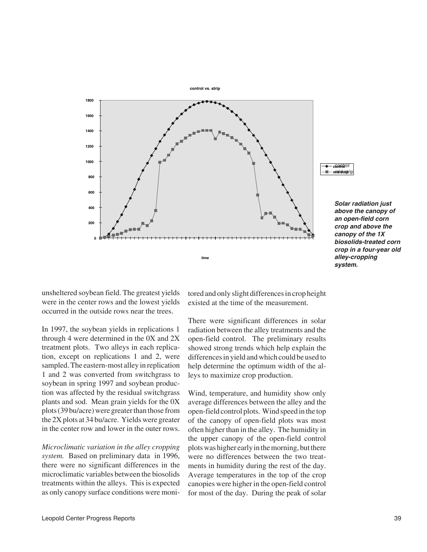

**control**  control mid <del>drat</del>

*biosolids-treated corn crop in a four-year old*  **time** *alley-cropping system. Solar radiation just above the canopy of an open-field corn crop and above the canopy of the 1X* 

unsheltered soybean field. The greatest yields were in the center rows and the lowest yields occurred in the outside rows near the trees.

In 1997, the soybean yields in replications 1 through 4 were determined in the 0X and 2X treatment plots. Two alleys in each replication, except on replications 1 and 2, were sampled. The eastern-most alley in replication 1 and 2 was converted from switchgrass to soybean in spring 1997 and soybean production was affected by the residual switchgrass plants and sod. Mean grain yields for the 0X plots (39 bu/acre) were greater than those from the 2X plots at 34 bu/acre. Yields were greater in the center row and lower in the outer rows.

*Microclimatic variation in the alley cropping system.* Based on preliminary data in 1996, there were no significant differences in the microclimatic variables between the biosolids treatments within the alleys. This is expected as only canopy surface conditions were monitored and only slight differences in crop height existed at the time of the measurement.

There were significant differences in solar radiation between the alley treatments and the open-field control. The preliminary results showed strong trends which help explain the differences in yield and which could be used to help determine the optimum width of the alleys to maximize crop production.

Wind, temperature, and humidity show only average differences between the alley and the open-field control plots. Wind speed in the top of the canopy of open-field plots was most often higher than in the alley. The humidity in the upper canopy of the open-field control plots was higher early in the morning, but there were no differences between the two treatments in humidity during the rest of the day. Average temperatures in the top of the crop canopies were higher in the open-field control for most of the day. During the peak of solar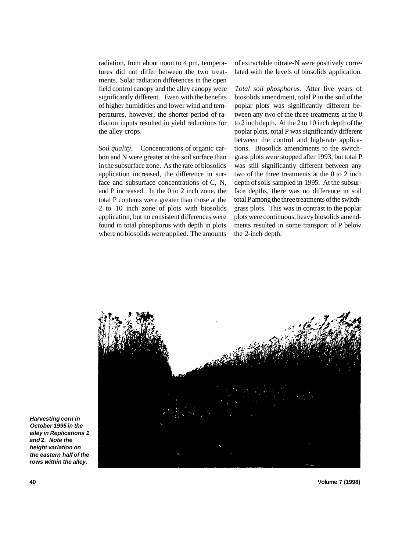radiation, from about noon to 4 pm, temperatures did not differ between the two treatments. Solar radiation differences in the open field control canopy and the alley canopy were significantly different. Even with the benefits of higher humidities and lower wind and temperatures, however, the shorter period of radiation inputs resulted in yield reductions for the alley crops.

*Soil quality.* Concentrations of organic carbon and N were greater at the soil surface than in the subsurface zone. As the rate of biosolids application increased, the difference in surface and subsurface concentrations of C, N, and P increased. In the 0 to 2 inch zone, the total P contents were greater than those at the 2 to 10 inch zone of plots with biosolids application, but no consistent differences were found in total phosphorus with depth in plots where no biosolids were applied. The amounts

of extractable nitrate-N were positively correlated with the levels of biosolids application.

*Total soil phosphorus.* After five years of biosolids amendment, total P in the soil of the poplar plots was significantly different between any two of the three treatments at the 0 to 2 inch depth. At the 2 to 10 inch depth of the poplar plots, total P was significantly different between the control and high-rate applications. Biosolids amendments to the switchgrass plots were stopped after 1993, but total P was still significantly different between any two of the three treatments at the 0 to 2 inch depth of soils sampled in 1995. At the subsurface depths, there was no difference in soil total P among the three treatments of the switchgrass plots. This was in contrast to the poplar plots were continuous, heavy biosolids amendments resulted in some transport of P below the 2-inch depth.



**Harvesting corn in October 1995 in the ailey in Replications 1 and 2. Note the height variation on the eastern half of the rows within the alley.** 

**40 Volume 7 (1998)**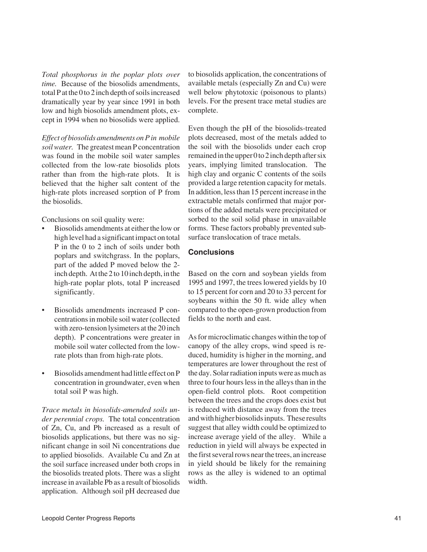*Total phosphorus in the poplar plots over time.* Because of the biosolids amendments, total P at the 0 to 2 inch depth of soils increased dramatically year by year since 1991 in both low and high biosolids amendment plots, except in 1994 when no biosolids were applied.

*Effect of biosolids amendments on P in mobile soil water.* The greatest mean P concentration was found in the mobile soil water samples collected from the low-rate biosolids plots rather than from the high-rate plots. It is believed that the higher salt content of the high-rate plots increased sorption of P from the biosolids.

Conclusions on soil quality were:

- Biosolids amendments at either the low or high level had a significant impact on total P in the 0 to 2 inch of soils under both poplars and switchgrass. In the poplars, part of the added P moved below the 2 inch depth. At the 2 to 10 inch depth, in the high-rate poplar plots, total P increased significantly.
- • Biosolids amendments increased P concentrations in mobile soil water (collected with zero-tension lysimeters at the 20 inch depth). P concentrations were greater in mobile soil water collected from the lowrate plots than from high-rate plots.
- • Biosolids amendment had little effect on P concentration in groundwater, even when total soil P was high.

*Trace metals in biosolids-amended soils under perennial crops.* The total concentration of Zn, Cu, and Pb increased as a result of biosolids applications, but there was no significant change in soil Ni concentrations due to applied biosolids. Available Cu and Zn at the soil surface increased under both crops in the biosolids treated plots. There was a slight increase in available Pb as a result of biosolids application. Although soil pH decreased due to biosolids application, the concentrations of available metals (especially Zn and Cu) were well below phytotoxic (poisonous to plants) levels. For the present trace metal studies are complete.

Even though the pH of the biosolids-treated plots decreased, most of the metals added to the soil with the biosolids under each crop remained in the upper 0 to 2 inch depth after six years, implying limited translocation. The high clay and organic C contents of the soils provided a large retention capacity for metals. In addition, less than 15 percent increase in the extractable metals confirmed that major portions of the added metals were precipitated or sorbed to the soil solid phase in unavailable forms. These factors probably prevented subsurface translocation of trace metals.

#### **Conclusions**

Based on the corn and soybean yields from 1995 and 1997, the trees lowered yields by 10 to 15 percent for corn and 20 to 33 percent for soybeans within the 50 ft. wide alley when compared to the open-grown production from fields to the north and east.

As for microclimatic changes within the top of canopy of the alley crops, wind speed is reduced, humidity is higher in the morning, and temperatures are lower throughout the rest of the day. Solar radiation inputs were as much as three to four hours less in the alleys than in the open-field control plots. Root competition between the trees and the crops does exist but is reduced with distance away from the trees and with higher biosolids inputs. These results suggest that alley width could be optimized to increase average yield of the alley. While a reduction in yield will always be expected in the first several rows near the trees, an increase in yield should be likely for the remaining rows as the alley is widened to an optimal width.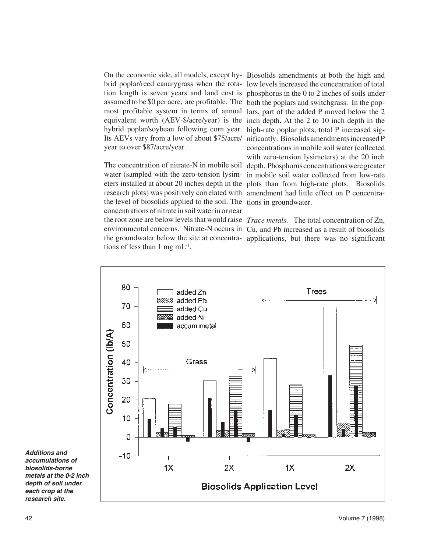On the economic side, all models, except hy-Biosolids amendments at both the high and assumed to be \$0 per acre, are profitable. The both the poplars and switchgrass. In the pop hybrid poplar/soybean following corn year. high-rate poplar plots, total P increased sigyear to over \$87/acre/year.

research plots) was positively correlated with amendment had little effect on P concentrathe level of biosolids applied to the soil. The tions in groundwater. concentrations of nitrate in soil water in or near the root zone are below levels that would raise *Trace metals.* The total concentration of Zn, tions of less than 1 mg mL-1.

brid poplar/reed canarygrass when the rota-low levels increased the concentration of total tion length is seven years and land cost is phosphorus in the 0 to 2 inches of soils under most profitable system in terms of annual lars, part of the added P moved below the 2 equivalent worth (AEV-\$/acre/year) is the inch depth. At the 2 to 10 inch depth in the Its AEVs vary from a low of about \$75/acre/ nificantly. Biosolids amendments increased P The concentration of nitrate-N in mobile soil depth. Phosphorus concentrations were greater water (sampled with the zero-tension lysim-in mobile soil water collected from low-rate eters installed at about 20 inches depth in the plots than from high-rate plots. Biosolids concentrations in mobile soil water (collected with zero-tension lysimeters) at the 20 inch

environmental concerns. Nitrate-N occurs in Cu, and Pb increased as a result of biosolids the groundwater below the site at concentra-applications, but there was no significant



*Additions and accumulations of biosolids-borne metals at the 0-2 inch depth of soil under each crop at the research site.*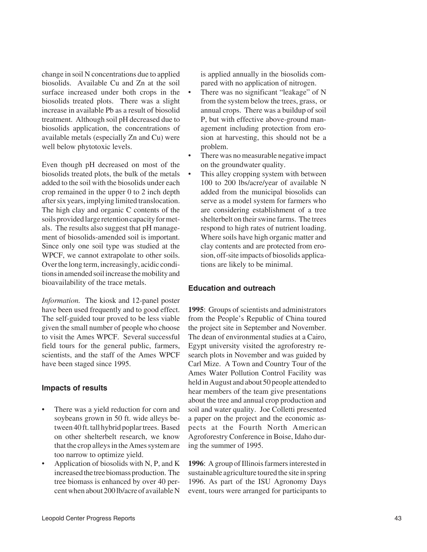change in soil N concentrations due to applied is applied annually in the biosolids combiosolids. Available Cu and Zn at the soil pared with no application of nitrogen. surface increased under both crops in the • There was no significant "leakage" of N biosolids treated plots. There was a slight from the system below the trees, grass, or increase in available Pb as a result of biosolid annual crops. There was a buildup of soil treatment. Although soil pH decreased due to P, but with effective above-ground manbiosolids application, the concentrations of agement including protection from eroavailable metals (especially Zn and Cu) were sion at harvesting, this should not be a well below phytotoxic levels. problem.

Even though pH decreased on most of the on the groundwater quality. biosolids treated plots, the bulk of the metals • This alley cropping system with between added to the soil with the biosolids under each 100 to 200 lbs/acre/year of available N crop remained in the upper 0 to 2 inch depth added from the municipal biosolids can after six years, implying limited translocation. serve as a model system for farmers who The high clay and organic C contents of the are considering establishment of a tree soils provided large retention capacity for met-<br>shelterbelt on their swine farms. The trees als. The results also suggest that pH manage-respond to high rates of nutrient loading. ment of biosolids-amended soil is important. Where soils have high organic matter and Since only one soil type was studied at the clay contents and are protected from ero-WPCF, we cannot extrapolate to other soils. sion, off-site impacts of biosolids applica-Over the long term, increasingly, acidic condi-<br>tions are likely to be minimal. tions in amended soil increase the mobility and bioavailability of the trace metals. **Education and outreach** 

*Information.* The kiosk and 12-panel poster have been used frequently and to good effect. **1995**: Groups of scientists and administrators The self-guided tour proved to be less viable from the People's Republic of China toured given the small number of people who choose the project site in September and November. to visit the Ames WPCF. Several successful The dean of environmental studies at a Cairo, field tours for the general public, farmers, Egypt university visited the agroforestry rescientists, and the staff of the Ames WPCF search plots in November and was guided by have been staged since 1995. Carl Mize. A Town and Country Tour of the

- There was a yield reduction for corn and soil and water quality. Joe Colletti presented that the crop alleys in the Ames system are ing the summer of 1995. too narrow to optimize yield.
- 

- 
- There was no measurable negative impact
- 

Ames Water Pollution Control Facility was **Impacts of results** held in August and about 50 people attended to<br>hear members of the team give presentations hear members of the team give presentations about the tree and annual crop production and soybeans grown in 50 ft. wide alleys be- a paper on the project and the economic astween 40 ft. tall hybrid poplar trees. Based pects at the Fourth North American on other shelterbelt research, we know Agroforestry Conference in Boise, Idaho dur-

Application of biosolids with N, P, and K **1996**: A group of Illinois farmers interested in increased the tree biomass production. The sustainable agriculture toured the site in spring tree biomass is enhanced by over 40 per- 1996. As part of the ISU Agronomy Days cent when about 200 lb/acre of available N event, tours were arranged for participants to